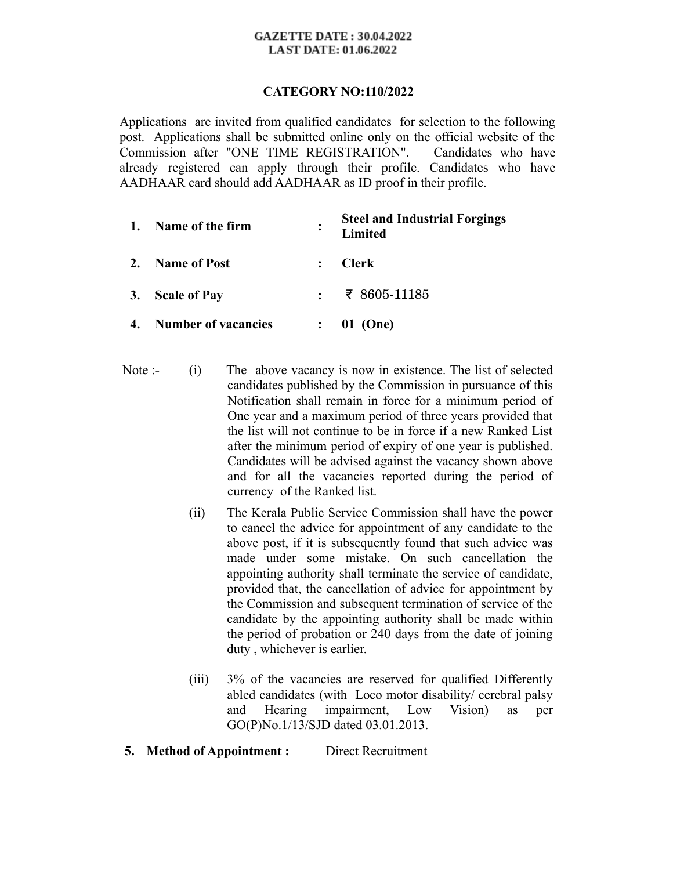#### **GAZETTE DATE: 30.04.2022 LAST DATE: 01.06.2022**

# **CATEGORY NO:110/2022**

Applications are invited from qualified candidates for selection to the following post. Applications shall be submitted online only on the official website of the Commission after "ONE TIME REGISTRATION". Candidates who have already registered can apply through their profile. Candidates who have AADHAAR card should add AADHAAR as ID proof in their profile.

| 1. | Name of the firm           | ፡ | <b>Steel and Industrial Forgings</b><br>Limited |
|----|----------------------------|---|-------------------------------------------------|
| 2. | <b>Name of Post</b>        |   | <b>Clerk</b>                                    |
|    | 3. Scale of Pay            |   | र 8605-11185                                    |
| 4. | <b>Number of vacancies</b> |   | 01 (One)                                        |

- Note :- (i) The above vacancy is now in existence. The list of selected candidates published by the Commission in pursuance of this Notification shall remain in force for a minimum period of One year and a maximum period of three years provided that the list will not continue to be in force if a new Ranked List after the minimum period of expiry of one year is published. Candidates will be advised against the vacancy shown above and for all the vacancies reported during the period of currency of the Ranked list.
	- (ii) The Kerala Public Service Commission shall have the power to cancel the advice for appointment of any candidate to the above post, if it is subsequently found that such advice was made under some mistake. On such cancellation the appointing authority shall terminate the service of candidate, provided that, the cancellation of advice for appointment by the Commission and subsequent termination of service of the candidate by the appointing authority shall be made within the period of probation or 240 days from the date of joining duty , whichever is earlier.
	- $(iii)$ 3% of the vacancies are reserved for qualified Differently abled candidates (with Loco motor disability/ cerebral palsy and Hearing impairment, Low Vision) as per GO(P)No.1/13/SJD dated 03.01.2013.
- **5. Method of Appointment :** Direct Recruitment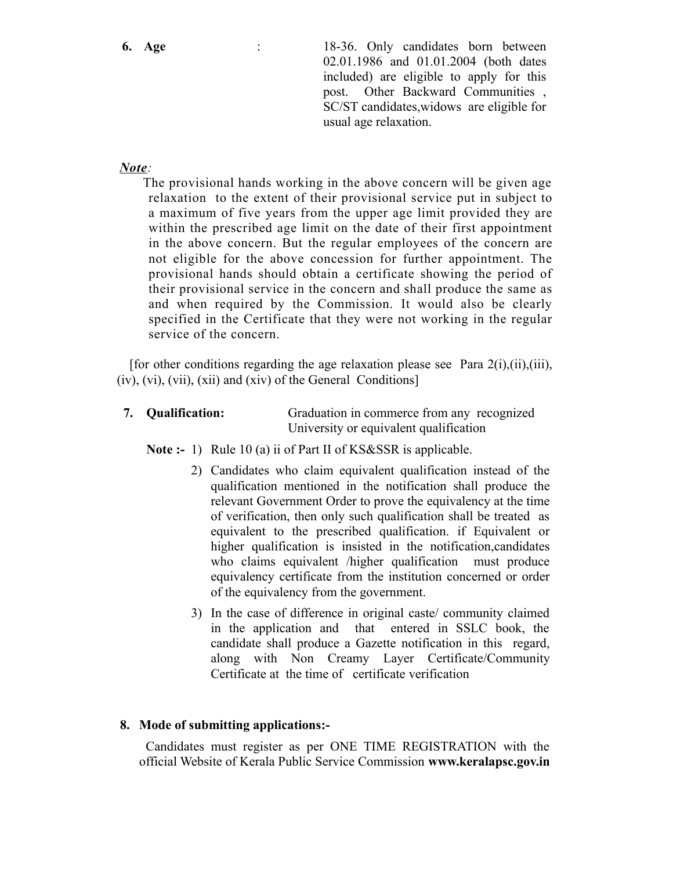**6. Age** : 18-36. Only candidates born between 02.01.1986 and 01.01.2004 (both dates included) are eligible to apply for this post. Other Backward Communities , SC/ST candidates,widows are eligible for usual age relaxation.

### *Note:*

 The provisional hands working in the above concern will be given age relaxation to the extent of their provisional service put in subject to a maximum of five years from the upper age limit provided they are within the prescribed age limit on the date of their first appointment in the above concern. But the regular employees of the concern are not eligible for the above concession for further appointment. The provisional hands should obtain a certificate showing the period of their provisional service in the concern and shall produce the same as and when required by the Commission. It would also be clearly specified in the Certificate that they were not working in the regular service of the concern.

[for other conditions regarding the age relaxation please see Para  $2(i)$ ,(ii),(iii), (iv), (vi), (vii), (xii) and (xiv) of the General Conditions]

**7. Qualification:** Graduation in commerce from any recognized University or equivalent qualification

**Note :-** 1) Rule 10 (a) ii of Part II of KS&SSR is applicable.

- 2) Candidates who claim equivalent qualification instead of the qualification mentioned in the notification shall produce the relevant Government Order to prove the equivalency at the time of verification, then only such qualification shall be treated as equivalent to the prescribed qualification. if Equivalent or higher qualification is insisted in the notification,candidates who claims equivalent /higher qualification must produce equivalency certificate from the institution concerned or order of the equivalency from the government.
- 3) In the case of difference in original caste/ community claimed in the application and that entered in SSLC book, the candidate shall produce a Gazette notification in this regard, along with Non Creamy Layer Certificate/Community Certificate at the time of certificate verification

### **8. Mode of submitting applications:-**

 Candidates must register as per ONE TIME REGISTRATION with the official Website of Kerala Public Service Commission **www.keralapsc.gov.in**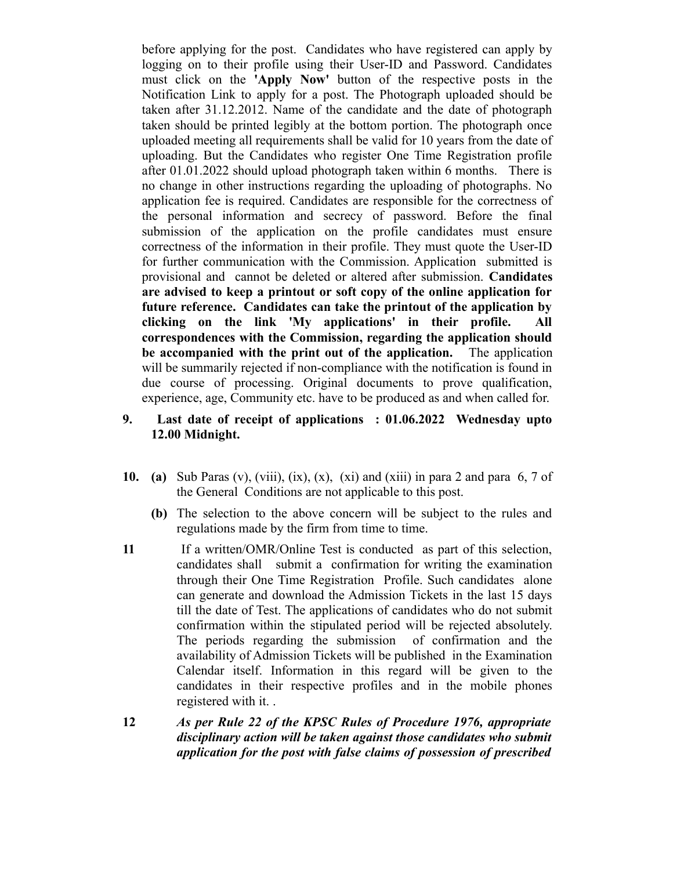before applying for the post. Candidates who have registered can apply by logging on to their profile using their User-ID and Password. Candidates must click on the **'Apply Now'** button of the respective posts in the Notification Link to apply for a post. The Photograph uploaded should be taken after 31.12.2012. Name of the candidate and the date of photograph taken should be printed legibly at the bottom portion. The photograph once uploaded meeting all requirements shall be valid for 10 years from the date of uploading. But the Candidates who register One Time Registration profile after 01.01.2022 should upload photograph taken within 6 months. There is no change in other instructions regarding the uploading of photographs. No application fee is required. Candidates are responsible for the correctness of the personal information and secrecy of password. Before the final submission of the application on the profile candidates must ensure correctness of the information in their profile. They must quote the User-ID for further communication with the Commission. Application submitted is provisional and cannot be deleted or altered after submission. **Candidates are advised to keep a printout or soft copy of the online application for future reference. Candidates can take the printout of the application by clicking on the link 'My applications' in their profile. All correspondences with the Commission, regarding the application should be accompanied with the print out of the application.** The application will be summarily rejected if non-compliance with the notification is found in due course of processing. Original documents to prove qualification, experience, age, Community etc. have to be produced as and when called for.

- **9. Last date of receipt of applications : 01.06.2022 Wednesday upto 12.00 Midnight.**
- **10. (a)** Sub Paras (v), (viii), (ix), (x), (xi) and (xiii) in para 2 and para 6, 7 of the General Conditions are not applicable to this post.
	- **(b)** The selection to the above concern will be subject to the rules and regulations made by the firm from time to time.
- **11** If a written/OMR/Online Test is conducted as part of this selection, candidates shall submit a confirmation for writing the examination through their One Time Registration Profile. Such candidates alone can generate and download the Admission Tickets in the last 15 days till the date of Test. The applications of candidates who do not submit confirmation within the stipulated period will be rejected absolutely. The periods regarding the submission of confirmation and the availability of Admission Tickets will be published in the Examination Calendar itself. Information in this regard will be given to the candidates in their respective profiles and in the mobile phones registered with it. .
- **12** *As per Rule 22 of the KPSC Rules of Procedure 1976, appropriate disciplinary action will be taken against those candidates who submit application for the post with false claims of possession of prescribed*